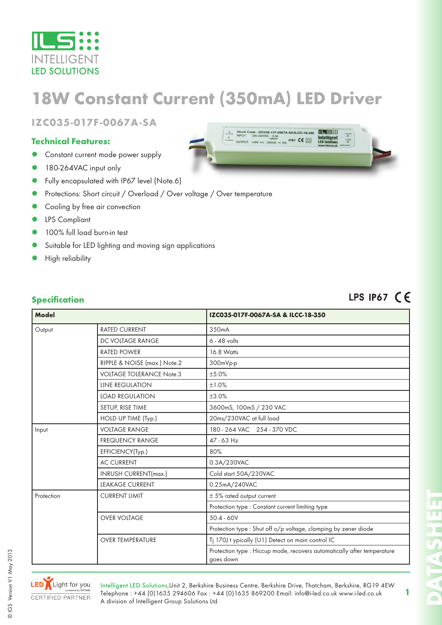

# **18W Constant Current (350mA) LED Driver**

**IZC035-017F-0067A-SA**

#### **Technical Features:**

- Constant current mode power supply
- 180-264VAC input only
- Fully encapsulated with IP67 level (Note.6)
- Protections: Short circuit / Overload / Over voltage / Over temperature
- Cooling by free air convection
- LPS Compliant
- 100% full load burn-in test
- Suitable for LED lighting and moving sign applications
- High reliability

### LPS IP67 CE

|  |  |  | <b>Specification</b> |
|--|--|--|----------------------|
|  |  |  |                      |

| <b>Model</b> |                                 | IZC035-017F-0067A-SA & ILCC-18-350                                                   |  |  |
|--------------|---------------------------------|--------------------------------------------------------------------------------------|--|--|
|              |                                 |                                                                                      |  |  |
| Output       | <b>RATED CURRENT</b>            | 350mA                                                                                |  |  |
|              | DC VOLTAGE RANGE                | $6 - 48$ volts                                                                       |  |  |
|              | <b>RATED POWER</b>              | 16.8 Watts                                                                           |  |  |
|              | RIPPLE & NOISE (max.) Note.2    | 300mVp-p                                                                             |  |  |
|              | <b>VOLTAGE TOLERANCE Note.3</b> | ±5.0%                                                                                |  |  |
|              | <b>LINE REGULATION</b>          | ±1.0%                                                                                |  |  |
|              | <b>LOAD REGULATION</b>          | ±3.0%                                                                                |  |  |
|              | SETUP, RISE TIME                | 3600mS, 100mS / 230 VAC                                                              |  |  |
|              | HOLD UP TIME (Typ.)             | 20ms/230VAC at full load                                                             |  |  |
| Input        | <b>VOLTAGE RANGE</b>            | 180 - 264 VAC 254 - 370 VDC                                                          |  |  |
|              | <b>FREQUENCY RANGE</b>          | 47 - 63 Hz                                                                           |  |  |
|              | EFFICIENCY(Typ.)                | 80%                                                                                  |  |  |
|              | <b>AC CURRENT</b>               | 0.3A/230VAC                                                                          |  |  |
|              | INRUSH CURRENT(max.)            | Cold start 50A/230VAC                                                                |  |  |
|              | <b>LEAKAGE CURRENT</b>          | 0.25mA/240VAC                                                                        |  |  |
| Protection   | <b>CURRENT LIMIT</b>            | $\pm$ 5% rated output current                                                        |  |  |
|              |                                 | Protection type : Constant current limiting type                                     |  |  |
|              | <b>OVER VOLTAGE</b>             | $50.4 - 60V$                                                                         |  |  |
|              |                                 | Protection type : Shut off o/p voltage, clamping by zener diode                      |  |  |
|              | <b>OVER TEMPERATURE</b>         | Tj 170J t ypically (U1) Detect on main control IC                                    |  |  |
|              |                                 | Protection type : Hiccup mode, recovers automatically after temperature<br>goes down |  |  |



© IGS Version V1 May 2013

CIGS Version V1 May 2013

Intelligent LED Solutions,Unit 2, Berkshire Business Centre, Berkshire Drive, Thatcham, Berkshire, RG19 4EW Telephone : +44 (0)1635 294606 Fax : +44 (0)1635 869200 Email: info@i-led.co.uk www.i-led.co.uk A division of Intelligent Group Solutions Ltd

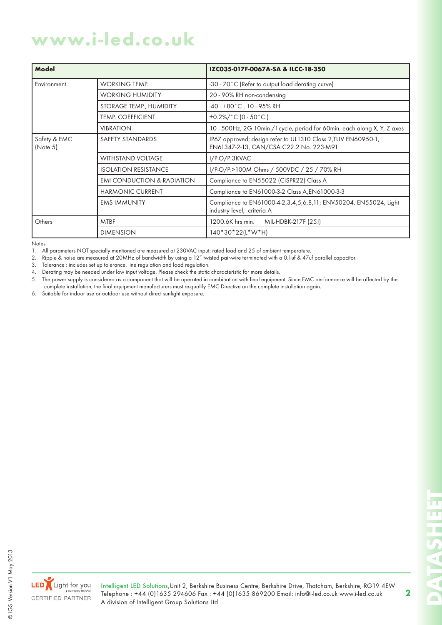## **www.i-led.co.uk**

| Model                    |                                       | IZC035-017F-0067A-SA & ILCC-18-350                                                                       |  |  |
|--------------------------|---------------------------------------|----------------------------------------------------------------------------------------------------------|--|--|
| Environment              | <b>WORKING TEMP.</b>                  | -30 - 70°C (Refer to output load derating curve)                                                         |  |  |
|                          | <b>WORKING HUMIDITY</b>               | 20 - 90% RH non-condensing                                                                               |  |  |
|                          | STORAGE TEMP., HUMIDITY               | $-40 - +80$ °C, 10 - 95% RH                                                                              |  |  |
|                          | <b>TEMP. COEFFICIENT</b>              | $\pm 0.2\%/^{\circ}C(0.50^{\circ}C)$                                                                     |  |  |
|                          | <b>VIBRATION</b>                      | 10 - 500Hz, 2G 10min./1 cycle, period for 60min. each along X, Y, Z axes                                 |  |  |
| Safety & EMC<br>(Note 5) | SAFETY STANDARDS                      | IP67 approved; design refer to UL1310 Class 2, TUV EN60950-1,<br>EN61347-2-13, CAN/CSA C22.2 No. 223-M91 |  |  |
|                          | <b>WITHSTAND VOLTAGE</b>              | I/P-O/P:3KVAC                                                                                            |  |  |
|                          | <b>ISOLATION RESISTANCE</b>           | I/P-O/P:>100M Ohms / 500VDC / 25 / 70% RH                                                                |  |  |
|                          | <b>EMI CONDUCTION &amp; RADIATION</b> | Compliance to EN55022 (CISPR22) Class A                                                                  |  |  |
|                          | <b>HARMONIC CURRENT</b>               | Compliance to EN61000-3-2 Class A, EN61000-3-3                                                           |  |  |
|                          | <b>EMS IMMUNITY</b>                   | Compliance to EN61000-4-2, 3, 4, 5, 6, 8, 11; ENV50204, EN55024, Light<br>industry level, criteria A     |  |  |
| Others                   | <b>MTBF</b>                           | 1200.6K hrs min.<br>MIL-HDBK-217F (25J)                                                                  |  |  |
|                          | <b>DIMENSION</b>                      | $140*30*22(L*W*H)$                                                                                       |  |  |

Notes:

1. All parameters NOT specially mentioned are measured at 230VAC input, rated load and 25 of ambient temperature.

2. Ripple & noise are measured at 20MHz of bandwidth by using a 12" twisted pair-wire terminated with a 0.1uf & 47uf parallel capacitor.

3. Tolerance : includes set up tolerance, line regulation and load regulation.

4. Derating may be needed under low input voltage. Please check the static characteristic for more details.

5. The power supply is considered as a component that will be operated in combination with final equipment. Since EMC performance will be affected by the complete installation, the final equipment manufacturers must re-qualify EMC Directive on the complete installation again.

6. Suitable for indoor use or outdoor use without direct sunlight exposure.

Intelligent LED Solutions,Unit 2, Berkshire Business Centre, Berkshire Drive, Thatcham, Berkshire, RG19 4EW Telephone : +44 (0)1635 294606 Fax : +44 (0)1635 869200 Email: info@i-led.co.uk www.i-led.co.uk A division of Intelligent Group Solutions Ltd

**DATASHEET**

**CATTAIN** 

m

**2**